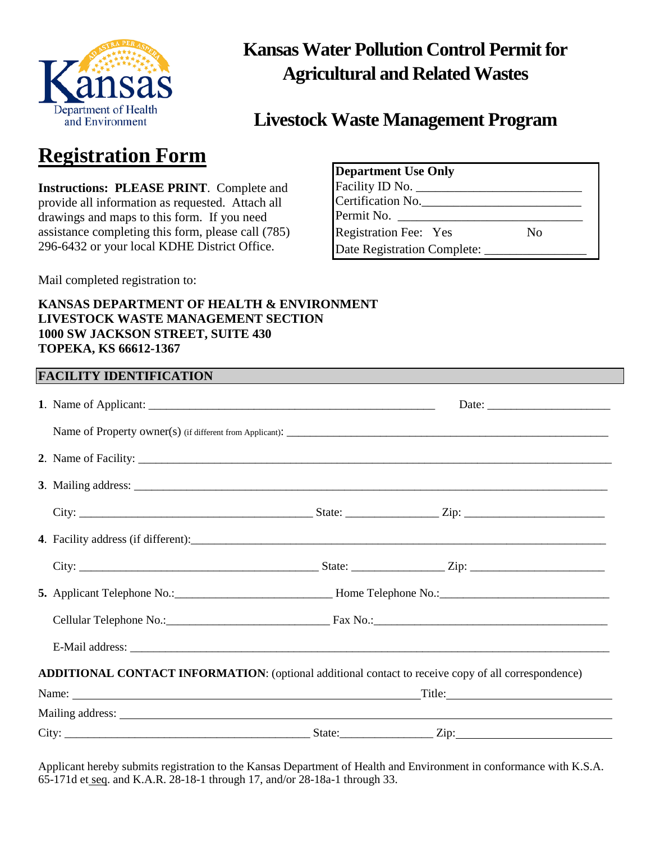

## **Kansas Water Pollution Control Permit for Agricultural and Related Wastes**

### **Livestock Waste Management Program**

## **Registration Form**

**Instructions: PLEASE PRINT**. Complete and provide all information as requested. Attach all drawings and maps to this form. If you need assistance completing this form, please call (785) 296-6432 or your local KDHE District Office.

| <b>Department Use Only</b>   |    |
|------------------------------|----|
| Facility ID No. $\_\_$       |    |
| Certification No.            |    |
| Permit No.                   |    |
| <b>Registration Fee: Yes</b> | No |
| Date Registration Complete:  |    |

Mail completed registration to:

#### **KANSAS DEPARTMENT OF HEALTH & ENVIRONMENT LIVESTOCK WASTE MANAGEMENT SECTION 1000 SW JACKSON STREET, SUITE 430 TOPEKA, KS 66612-1367**

| <b>FACILITY IDENTIFICATION</b>                                                                      | <u> 1989 - Johann Stoff, amerikansk politiker (* 1908)</u>                                                                                                                                                                     |
|-----------------------------------------------------------------------------------------------------|--------------------------------------------------------------------------------------------------------------------------------------------------------------------------------------------------------------------------------|
|                                                                                                     |                                                                                                                                                                                                                                |
|                                                                                                     |                                                                                                                                                                                                                                |
|                                                                                                     |                                                                                                                                                                                                                                |
|                                                                                                     |                                                                                                                                                                                                                                |
|                                                                                                     |                                                                                                                                                                                                                                |
|                                                                                                     |                                                                                                                                                                                                                                |
|                                                                                                     |                                                                                                                                                                                                                                |
|                                                                                                     | 5. Applicant Telephone No.: 1990. [10] Home Telephone No.: 1991. [20] Home Telephone No.: 1991. [20] Applicant Telephone No.: 1991. [20] Home Telephone No.: 1991. [20] Applicant Telephone No.: 1991. [20] Applicant Telephon |
|                                                                                                     |                                                                                                                                                                                                                                |
|                                                                                                     |                                                                                                                                                                                                                                |
| ADDITIONAL CONTACT INFORMATION: (optional additional contact to receive copy of all correspondence) |                                                                                                                                                                                                                                |
|                                                                                                     | Name: Title: Title:                                                                                                                                                                                                            |
|                                                                                                     |                                                                                                                                                                                                                                |
|                                                                                                     |                                                                                                                                                                                                                                |

Applicant hereby submits registration to the Kansas Department of Health and Environment in conformance with K.S.A. 65-171d et seq. and K.A.R. 28-18-1 through 17, and/or 28-18a-1 through 33.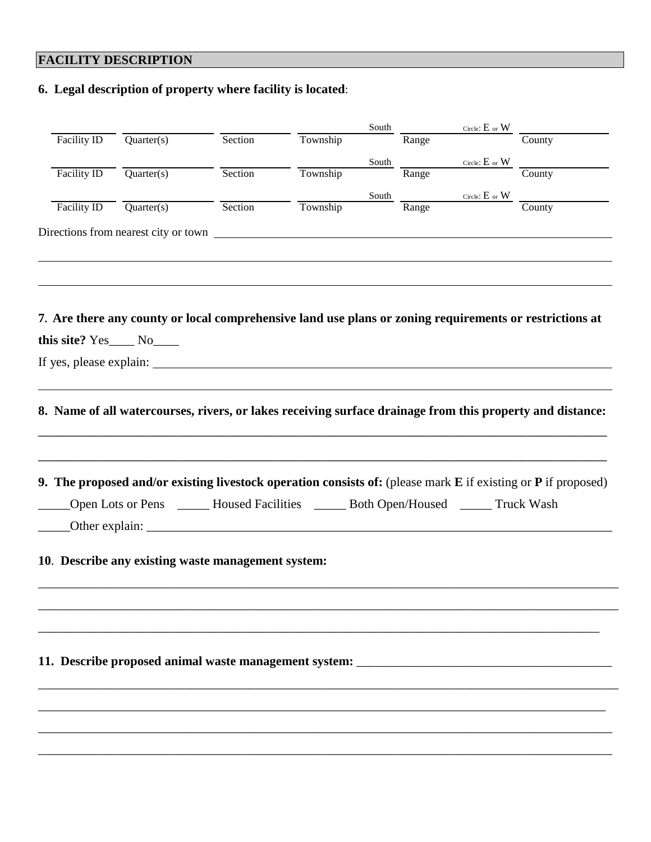### **FACILITY DESCRIPTION**

**6. Legal description of property where facility is located**:

| Facility ID               |                         |                                                                                                                                                                                                       |          | South        |       | Circle: $E$ or $W$ |                                                                                                                                                                            |
|---------------------------|-------------------------|-------------------------------------------------------------------------------------------------------------------------------------------------------------------------------------------------------|----------|--------------|-------|--------------------|----------------------------------------------------------------------------------------------------------------------------------------------------------------------------|
|                           | $\overline{Quarter(s)}$ | Section                                                                                                                                                                                               | Township |              | Range |                    | County                                                                                                                                                                     |
|                           |                         |                                                                                                                                                                                                       |          | South        |       | Circle: $E$ or $W$ | County                                                                                                                                                                     |
| Facility ID               | Quarter(s)              | Section                                                                                                                                                                                               | Township |              | Range |                    |                                                                                                                                                                            |
|                           |                         |                                                                                                                                                                                                       |          | <b>South</b> |       |                    | $\begin{tabular}{ll} \multicolumn{2}{l}{{\bf Range}} & $\text{Circle: } \underline{\mathbf{E}}$ or $\underline{\mathbf{W}}$ & $\underline{\text{County}}$\\ \end{tabular}$ |
| Facility ID               | Quarter(s)              | Section                                                                                                                                                                                               | Township |              |       |                    |                                                                                                                                                                            |
|                           |                         | Directions from nearest city or town                                                                                                                                                                  |          |              |       |                    |                                                                                                                                                                            |
|                           |                         |                                                                                                                                                                                                       |          |              |       |                    |                                                                                                                                                                            |
|                           |                         | 7. Are there any county or local comprehensive land use plans or zoning requirements or restrictions at                                                                                               |          |              |       |                    |                                                                                                                                                                            |
| this site? Yes____ No____ |                         |                                                                                                                                                                                                       |          |              |       |                    |                                                                                                                                                                            |
|                           |                         |                                                                                                                                                                                                       |          |              |       |                    |                                                                                                                                                                            |
|                           |                         |                                                                                                                                                                                                       |          |              |       |                    |                                                                                                                                                                            |
|                           |                         |                                                                                                                                                                                                       |          |              |       |                    |                                                                                                                                                                            |
|                           |                         | 9. The proposed and/or existing livestock operation consists of: (please mark E if existing or P if proposed)<br>Open Lots or Pens ______ Housed Facilities ______ Both Open/Housed ______ Truck Wash |          |              |       |                    |                                                                                                                                                                            |
|                           |                         | 10. Describe any existing waste management system:                                                                                                                                                    |          |              |       |                    |                                                                                                                                                                            |
|                           |                         |                                                                                                                                                                                                       |          |              |       |                    |                                                                                                                                                                            |
|                           |                         |                                                                                                                                                                                                       |          |              |       |                    |                                                                                                                                                                            |
|                           |                         | 11. Describe proposed animal waste management system: ___________________________                                                                                                                     |          |              |       |                    |                                                                                                                                                                            |
|                           |                         |                                                                                                                                                                                                       |          |              |       |                    |                                                                                                                                                                            |
|                           |                         |                                                                                                                                                                                                       |          |              |       |                    |                                                                                                                                                                            |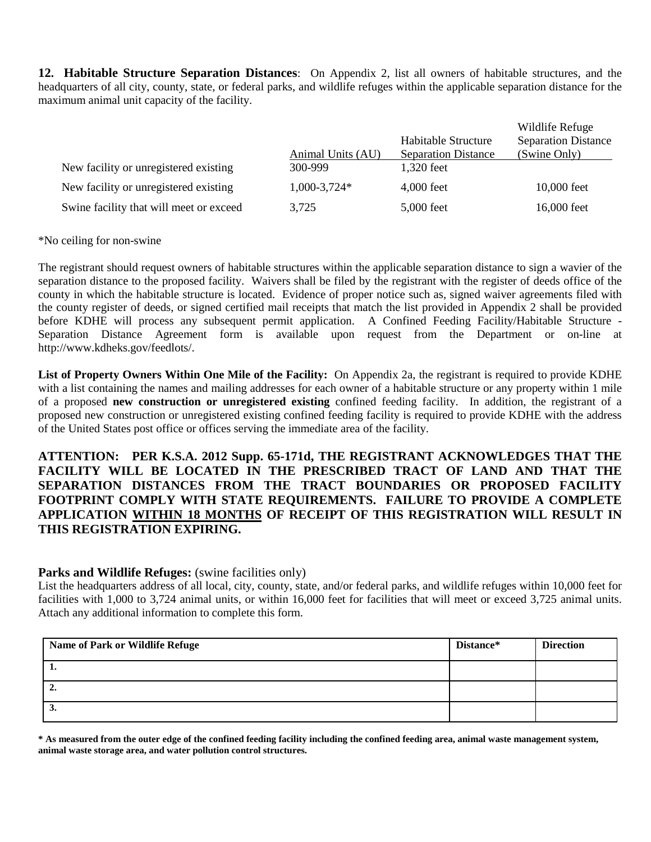**12. Habitable Structure Separation Distances**: On Appendix 2, list all owners of habitable structures, and the headquarters of all city, county, state, or federal parks, and wildlife refuges within the applicable separation distance for the maximum animal unit capacity of the facility.

|                                         |                   |                            | Wildlife Refuge            |
|-----------------------------------------|-------------------|----------------------------|----------------------------|
|                                         |                   | Habitable Structure        | <b>Separation Distance</b> |
|                                         | Animal Units (AU) | <b>Separation Distance</b> | (Swine Only)               |
| New facility or unregistered existing   | 300-999           | 1,320 feet                 |                            |
| New facility or unregistered existing   | $1,000-3,724*$    | 4,000 feet                 | 10,000 feet                |
| Swine facility that will meet or exceed | 3,725             | 5,000 feet                 | 16,000 feet                |

#### \*No ceiling for non-swine

The registrant should request owners of habitable structures within the applicable separation distance to sign a wavier of the separation distance to the proposed facility. Waivers shall be filed by the registrant with the register of deeds office of the county in which the habitable structure is located. Evidence of proper notice such as, signed waiver agreements filed with the county register of deeds, or signed certified mail receipts that match the list provided in Appendix 2 shall be provided before KDHE will process any subsequent permit application. A Confined Feeding Facility/Habitable Structure - Separation Distance Agreement form is available upon request from the Department or on-line at http://www.kdheks.gov/feedlots/.

**List of Property Owners Within One Mile of the Facility:** On Appendix 2a, the registrant is required to provide KDHE with a list containing the names and mailing addresses for each owner of a habitable structure or any property within 1 mile of a proposed **new construction or unregistered existing** confined feeding facility. In addition, the registrant of a proposed new construction or unregistered existing confined feeding facility is required to provide KDHE with the address of the United States post office or offices serving the immediate area of the facility.

**ATTENTION: PER K.S.A. 2012 Supp. 65-171d, THE REGISTRANT ACKNOWLEDGES THAT THE FACILITY WILL BE LOCATED IN THE PRESCRIBED TRACT OF LAND AND THAT THE SEPARATION DISTANCES FROM THE TRACT BOUNDARIES OR PROPOSED FACILITY FOOTPRINT COMPLY WITH STATE REQUIREMENTS. FAILURE TO PROVIDE A COMPLETE APPLICATION WITHIN 18 MONTHS OF RECEIPT OF THIS REGISTRATION WILL RESULT IN THIS REGISTRATION EXPIRING.**

#### **Parks and Wildlife Refuges:** (swine facilities only)

List the headquarters address of all local, city, county, state, and/or federal parks, and wildlife refuges within 10,000 feet for facilities with 1,000 to 3,724 animal units, or within 16,000 feet for facilities that will meet or exceed 3,725 animal units. Attach any additional information to complete this form.

| Name of Park or Wildlife Refuge | Distance* | <b>Direction</b> |
|---------------------------------|-----------|------------------|
| -1.                             |           |                  |
| ∸.                              |           |                  |
| э.                              |           |                  |

**\* As measured from the outer edge of the confined feeding facility including the confined feeding area, animal waste management system, animal waste storage area, and water pollution control structures.**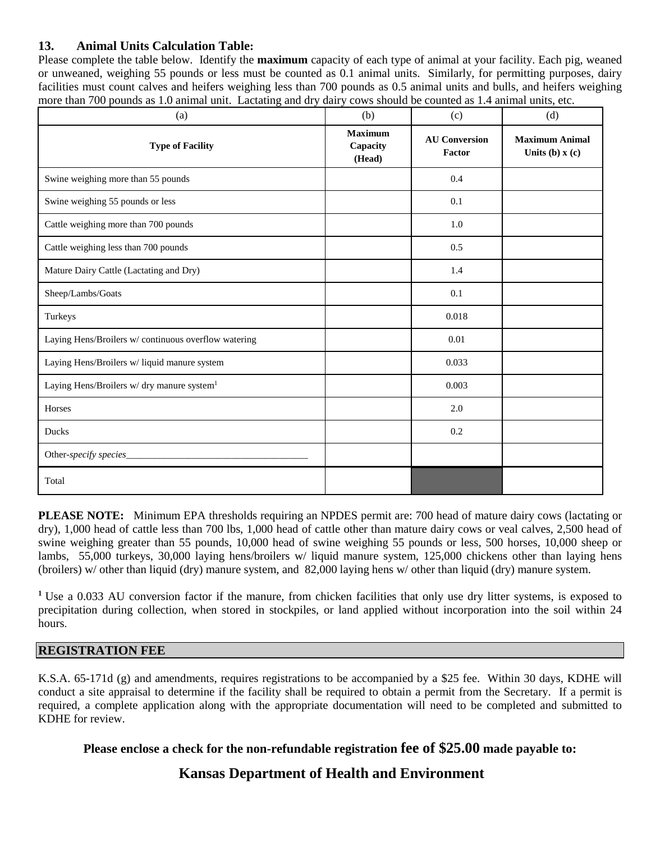#### **13. Animal Units Calculation Table:**

Please complete the table below. Identify the **maximum** capacity of each type of animal at your facility. Each pig, weaned or unweaned, weighing 55 pounds or less must be counted as 0.1 animal units. Similarly, for permitting purposes, dairy facilities must count calves and heifers weighing less than 700 pounds as 0.5 animal units and bulls, and heifers weighing more than 700 pounds as 1.0 animal unit. Lactating and dry dairy cows should be counted as 1.4 animal units, etc.

| (a)                                                    | (b)                                  | (c)                            | (d)                                       |
|--------------------------------------------------------|--------------------------------------|--------------------------------|-------------------------------------------|
| <b>Type of Facility</b>                                | <b>Maximum</b><br>Capacity<br>(Head) | <b>AU Conversion</b><br>Factor | <b>Maximum Animal</b><br>Units (b) $x(c)$ |
| Swine weighing more than 55 pounds                     |                                      | 0.4                            |                                           |
| Swine weighing 55 pounds or less                       |                                      | 0.1                            |                                           |
| Cattle weighing more than 700 pounds                   |                                      | 1.0                            |                                           |
| Cattle weighing less than 700 pounds                   |                                      | 0.5                            |                                           |
| Mature Dairy Cattle (Lactating and Dry)                |                                      | 1.4                            |                                           |
| Sheep/Lambs/Goats                                      |                                      | 0.1                            |                                           |
| Turkeys                                                |                                      | 0.018                          |                                           |
| Laying Hens/Broilers w/ continuous overflow watering   |                                      | 0.01                           |                                           |
| Laying Hens/Broilers w/ liquid manure system           |                                      | 0.033                          |                                           |
| Laying Hens/Broilers w/ dry manure system <sup>1</sup> |                                      | 0.003                          |                                           |
| Horses                                                 |                                      | 2.0                            |                                           |
| Ducks                                                  |                                      | 0.2                            |                                           |
| Other-specify species_                                 |                                      |                                |                                           |
| Total                                                  |                                      |                                |                                           |

**PLEASE NOTE:** Minimum EPA thresholds requiring an NPDES permit are: 700 head of mature dairy cows (lactating or dry), 1,000 head of cattle less than 700 lbs, 1,000 head of cattle other than mature dairy cows or veal calves, 2,500 head of swine weighing greater than 55 pounds, 10,000 head of swine weighing 55 pounds or less, 500 horses, 10,000 sheep or lambs, 55,000 turkeys, 30,000 laying hens/broilers w/ liquid manure system, 125,000 chickens other than laying hens (broilers) w/ other than liquid (dry) manure system, and 82,000 laying hens w/ other than liquid (dry) manure system.

**<sup>1</sup>** Use a 0.033 AU conversion factor if the manure, from chicken facilities that only use dry litter systems, is exposed to precipitation during collection, when stored in stockpiles, or land applied without incorporation into the soil within 24 hours.

#### **REGISTRATION FEE**

K.S.A. 65-171d (g) and amendments, requires registrations to be accompanied by a \$25 fee. Within 30 days, KDHE will conduct a site appraisal to determine if the facility shall be required to obtain a permit from the Secretary. If a permit is required, a complete application along with the appropriate documentation will need to be completed and submitted to KDHE for review.

#### **Please enclose a check for the non-refundable registration fee of \$25.00 made payable to:**

#### **Kansas Department of Health and Environment**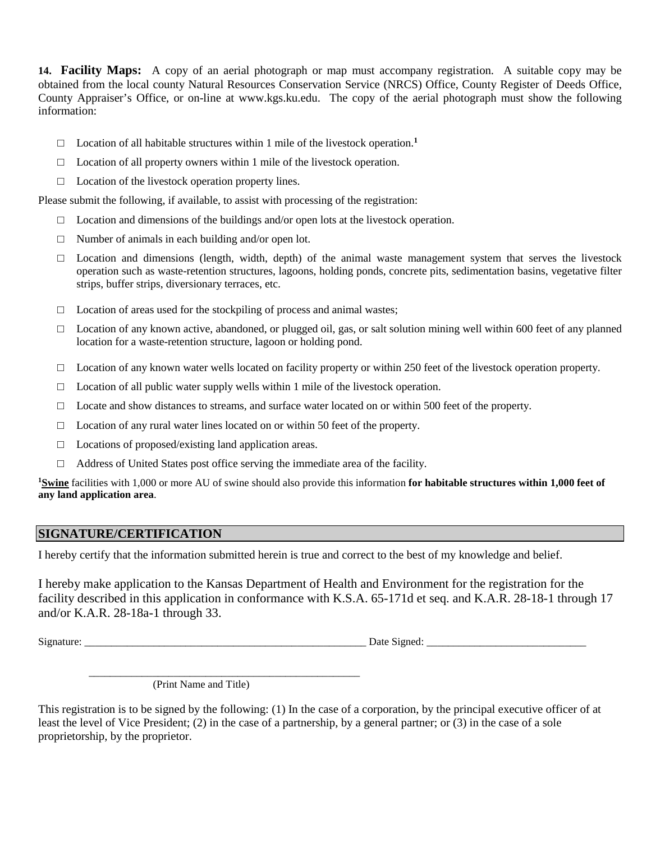**14. Facility Maps:** A copy of an aerial photograph or map must accompany registration. A suitable copy may be obtained from the local county Natural Resources Conservation Service (NRCS) Office, County Register of Deeds Office, County Appraiser's Office, or on-line at www.kgs.ku.edu. The copy of the aerial photograph must show the following information:

- $\Box$  Location of all habitable structures within 1 mile of the livestock operation.<sup>1</sup>
- $\Box$  Location of all property owners within 1 mile of the livestock operation.
- □ Location of the livestock operation property lines.

Please submit the following, if available, to assist with processing of the registration:

- $\Box$  Location and dimensions of the buildings and/or open lots at the livestock operation.
- $\Box$  Number of animals in each building and/or open lot.
- $\Box$  Location and dimensions (length, width, depth) of the animal waste management system that serves the livestock operation such as waste-retention structures, lagoons, holding ponds, concrete pits, sedimentation basins, vegetative filter strips, buffer strips, diversionary terraces, etc.
- □ Location of areas used for the stockpiling of process and animal wastes;
- $\Box$  Location of any known active, abandoned, or plugged oil, gas, or salt solution mining well within 600 feet of any planned location for a waste-retention structure, lagoon or holding pond.
- $\Box$  Location of any known water wells located on facility property or within 250 feet of the livestock operation property.
- $\Box$  Location of all public water supply wells within 1 mile of the livestock operation.
- $\Box$  Locate and show distances to streams, and surface water located on or within 500 feet of the property.
- $\Box$  Location of any rural water lines located on or within 50 feet of the property.
- □ Locations of proposed/existing land application areas.
- $\Box$  Address of United States post office serving the immediate area of the facility.

<sup>1</sup>Swine facilities with 1,000 or more AU of swine should also provide this information for habitable structures within 1,000 feet of **any land application area**.

#### **SIGNATURE/CERTIFICATION**

I hereby certify that the information submitted herein is true and correct to the best of my knowledge and belief.

I hereby make application to the Kansas Department of Health and Environment for the registration for the facility described in this application in conformance with K.S.A. 65-171d et seq. and K.A.R. 28-18-1 through 17 and/or K.A.R. 28-18a-1 through 33.

Signature: \_\_\_\_\_\_\_\_\_\_\_\_\_\_\_\_\_\_\_\_\_\_\_\_\_\_\_\_\_\_\_\_\_\_\_\_\_\_\_\_\_\_\_\_\_\_\_\_\_\_\_\_\_ Date Signed: \_\_\_\_\_\_\_\_\_\_\_\_\_\_\_\_\_\_\_\_\_\_\_\_\_\_\_\_\_\_

 \_\_\_\_\_\_\_\_\_\_\_\_\_\_\_\_\_\_\_\_\_\_\_\_\_\_\_\_\_\_\_\_\_\_\_\_\_\_\_\_\_\_\_\_\_\_\_\_\_\_\_ (Print Name and Title)

This registration is to be signed by the following: (1) In the case of a corporation, by the principal executive officer of at least the level of Vice President; (2) in the case of a partnership, by a general partner; or (3) in the case of a sole proprietorship, by the proprietor.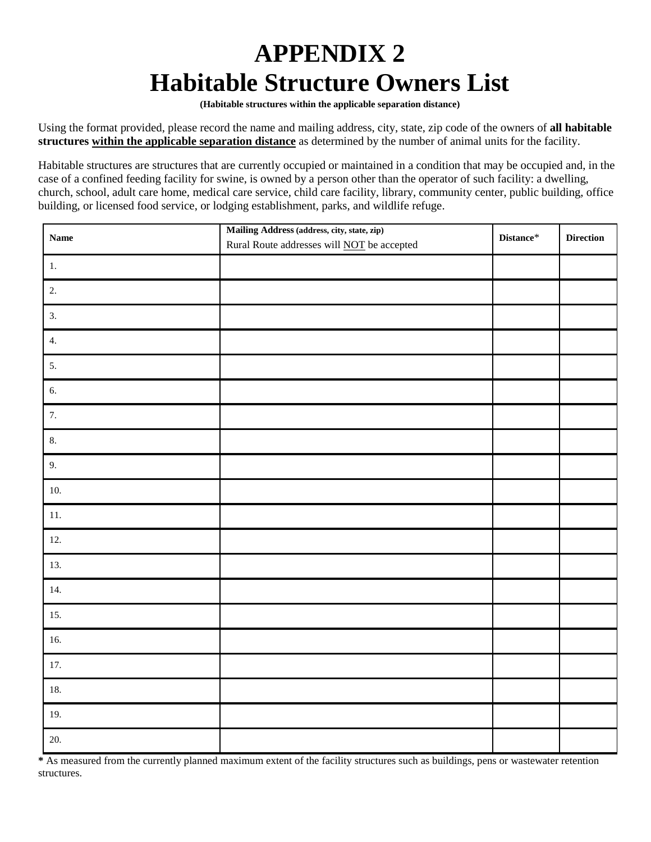# **APPENDIX 2 Habitable Structure Owners List**

**(Habitable structures within the applicable separation distance)**

Using the format provided, please record the name and mailing address, city, state, zip code of the owners of **all habitable structures within the applicable separation distance** as determined by the number of animal units for the facility.

Habitable structures are structures that are currently occupied or maintained in a condition that may be occupied and, in the case of a confined feeding facility for swine, is owned by a person other than the operator of such facility: a dwelling, church, school, adult care home, medical care service, child care facility, library, community center, public building, office building, or licensed food service, or lodging establishment, parks, and wildlife refuge.

| <b>Name</b> | Mailing Address (address, city, state, zip)<br>Rural Route addresses will <b>NOT</b> be accepted | $\mathbf{Distance}^*$ | <b>Direction</b> |
|-------------|--------------------------------------------------------------------------------------------------|-----------------------|------------------|
| $1. \,$     |                                                                                                  |                       |                  |
| 2.          |                                                                                                  |                       |                  |
| 3.          |                                                                                                  |                       |                  |
| 4.          |                                                                                                  |                       |                  |
| 5.          |                                                                                                  |                       |                  |
| 6.          |                                                                                                  |                       |                  |
| 7.          |                                                                                                  |                       |                  |
| 8.          |                                                                                                  |                       |                  |
| 9.          |                                                                                                  |                       |                  |
| 10.         |                                                                                                  |                       |                  |
| $11.$       |                                                                                                  |                       |                  |
| 12.         |                                                                                                  |                       |                  |
| 13.         |                                                                                                  |                       |                  |
| 14.         |                                                                                                  |                       |                  |
| 15.         |                                                                                                  |                       |                  |
| 16.         |                                                                                                  |                       |                  |
| $17.$       |                                                                                                  |                       |                  |
| $18. \,$    |                                                                                                  |                       |                  |
| 19.         |                                                                                                  |                       |                  |
| 20.         |                                                                                                  |                       |                  |

**\*** As measured from the currently planned maximum extent of the facility structures such as buildings, pens or wastewater retention structures.